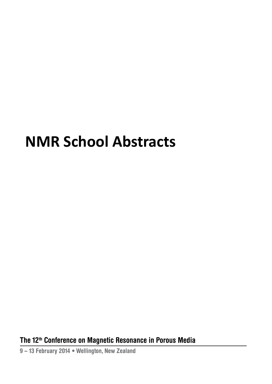# **NMR School Abstracts**

**The 12 th Conference on Magnetic resonance in Porous Media**

**9 – 13 February 2014 • Wellington, new Zealand**